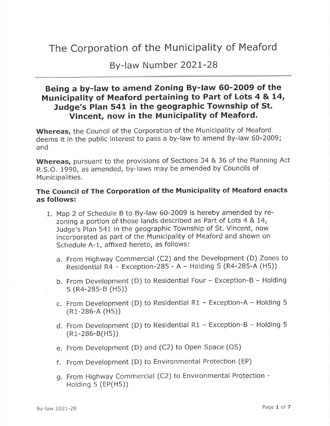## The Corporation of the Municipality of Meaford

By-law Number 2O2L-28

## Being a by-law to amend Zoning By-law 60-2009 of the Municipality of Meaford pertaining to Part of Lots 4 & 14, Judge's Plan 541 in the geographic Township of St. Vincent, now in the Municipality of Meaford.

Whereas, the Council of the Corporation of the Municipality of Meaford deems it in the public interest to pass a by-law to amend By-law 60-2009; and

Whereas, pursuant to the provisions of Sections 34 & 36 of the Planning Act R.S.O. 1990, as amended, by-laws may be amended by Councils of Municipalities.

## The Council of The Corporation of the Municipality of Meaford enacts as follows:

- 1. Map 2 of Schedule B to By-law 60-2009 is hereby amended by rezoning a portion of those lands described as Part of Lots 4 & L4, Judge's Plan 541 in the geographic Township of St. Vincent, now incorporated as part of the Municipality of Meaford and shown on Schedule A-1, affixed hereto, as follows:
	- a. From Highway Commercial (C2) and the Development (D) Zones to Residential R4 - Exception-285 - A - Holding 5 (R4-285-A (H5))
	- b. From Development (D) to Residential Four Exception-B Holding s (R4-2B5-B (Hs))
	- c. From Development (D) to Residential R1 Exception-A Holding 5 (R1-286-A (Hs))
	- d. From Development (D) to Residential R1 Exception-B Holding 5 (R1-286-B(Hs))
	- e. From Development (D) and (C2) to Open Space (OS)
	- <sup>f</sup>. From Development (D) to Environmental Protection (EP)
	- g. From Highway Commercial (C2) to Environmental Protection Holding  $5$  (EP(H5))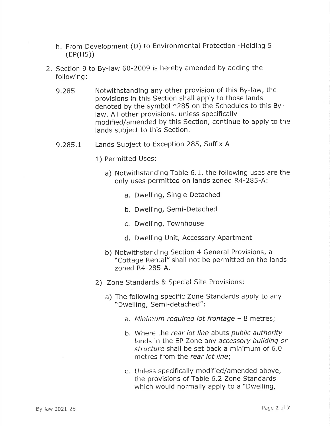- h. From Development (D) to Environmental Protection -Holding <sup>5</sup> (EP(Hs))
- 2. Section 9 to By-law 60-2009 is hereby amended by adding the following:
	- 9.285 Notwithstanding any other provision of this By-law, the provisions in this Section shall apply to those lands denoted by the symbol  $*285$  on the Schedules to this Bylaw. All other provisions, unless specifically modified/amended by this Section, continue to apply to the lands subject to this Section.
	- 9.285.1 Lands Subject to Exception 285, Suffix <sup>A</sup>
		- 1) Permitted Uses:
			- a) Notwithstanding Table 6.1, the following uses are the only uses permitted on lands zoned R4-285-A:
				- a. Dwelling, Single Detached
				- b. Dwelling, Semi-Detached
				- c. Dwelling, Townhouse
				- d. Dwelling Unit, Accessory Apartment
			- b) Notwithstanding Section 4 General Provisions, <sup>a</sup> "Cottage Rental" shall not be permitted on the lands zoned R4-285-A.
		- 2) Zone Standards & Special Site Provisions:
			- a) The following specific Zone Standards apply to any "Dwelling, Semi-detached":
				- a. Minimum required lot frontage 8 metres;
				- b. Where the rear lot line abuts public authority lands in the EP Zone any accessory building or structure shall be set back a minimum of 6.0 metres from the rear lot line;
				- c. Unless specifically modified/amended above, the provisions of Table 6.2 Zone Standards which would normally apply to a "Dwelling,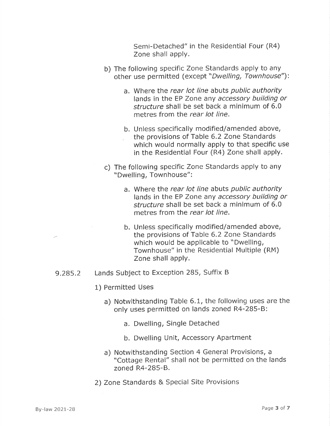Semi-Detached" in the Residential Four (R4) Zone shall apply.

- b) The following specific Zone Standards apply to any other use permitted (except "Dwelling, Townhouse"):
	- a. Where the rear lot line abuts public authority lands in the EP Zone any accessory building or structure shall be set back a minimum of 6.0 metres from the rear lot line.
	- b. Unless specifically modified/amended above, the provisions of Table 6.2 Zone Standards which would normally apply to that specific use in the Residential Four (R4) Zone shall apply.
- c) The following specific Zone Standards apply to any "Dwelling, Townhouse":
	- a. Where the rear lot line abuts public authority lands in the EP Zone any accessory building or structure shall be set back a minimum of 6.0 metres from the rear lot line.
	- b. Unless specifically modified/amended above, the provisions of Table 6.2 Zone Standards which would be applicable to "Dwelling, Townhouse" in the Residential Multiple (RM) Zone shall apply.
- 9.285.2 Lands Subject to Exception 285, Suffix <sup>B</sup>
	- 1) Permitted Uses
		- a) Notwithstanding Table 6.1, the following uses are the only uses permitted on lands zoned R4-285-B:
			- a. Dwelling, Single Detached
			- b. Dwelling Unit, Accessory Apartment
		- a) Notwithstanding Section 4 General Provisions, <sup>a</sup> "Cottage Rental" shall not be permitted on the lands zoned R4-285-8.
	- 2) Zone Standards & Special Site Provisions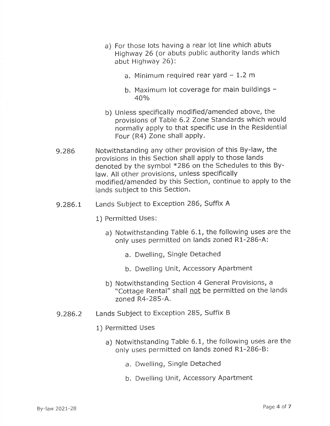- a) For those lots having a rear lot line which abuts Highway 26 (or abuts public authority lands which abut Highway 26):
	- a. Minimum required rear yard  $-1.2$  m
	- b. Maximum lot coverage for main buildings -40o/o
- b) Unless specifically modified/amended above, the provisions of Table 6.2 Zone Standards which would normally apply to that specific use in the Residential Four (R4) Zone shall apply.
- 9.286 Notwithstanding any other provision of this By-law, the provisions in this Section shall apply to those lands denoted by the symbol  $*286$  on the Schedules to this Bylaw. All other provisions, unless specifically modified/amended by this Section, continue to apply to the lands subject to this Section.
- 9.286.1 Lands Subject to Exception 286, Suffix A
	- 1) Permitted Uses:
		- a) Notwithstanding Table 6.1, the following uses are the only uses permitted on lands zoned R1-286-A:
			- a. Dwelling, Single Detached
			- b. Dwelling Unit, Accessory Apartment
		- b) Notwithstanding Section 4 General Provisions, <sup>a</sup> "Cottage Rental" shall not be permitted on the lands zoned R4-285-4
- 9.286.2 Lands Subject to Exception 285, Suffix <sup>B</sup>
	- 1) Permitted Uses
		- a) Notwithstanding Table 6.1, the following uses are the only uses permitted on lands zoned R1-286-B:
			- a. Dwelling, Single Detached
			- b. Dwelling Unit, Accessory Apartment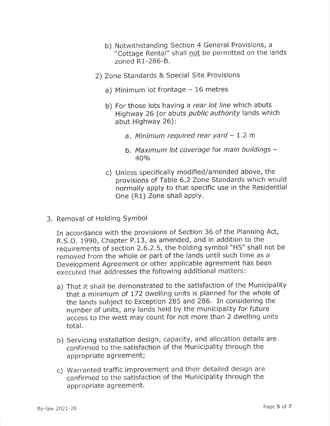- b) Notwithstanding Section 4 General Provisions, <sup>a</sup> "Cottage Rental" shall not be permitted on the lands zoned R1-286-8.
- 2) Zone Standards & Special Site Provisions
	- a) Minimum lot frontage  $-16$  metres
	- b) For those lots having a rear lot line which abuts Highway 26 (or abuts public authority lands which abut Highway 26):
		- a. Minimum required rear yard  $-1.2$  m
		- b. Maximum lot coverage for main buildings - $40%$
	- c) Unless specifically modified/amended above, the provisions of Table 6.2 Zone Standards which would normally apply to that specific use in the Residential One (R1) Zone shall apply.
- 3. Removal of Holding SYmbol

In accordance with the provisions of Section 36 of the Planning Act, R.S.O. 1990, Chapter P.13, as amended, and in addition to the requirements of section 2.6.2.5, the holding symbol \\H5/' shall not be removed from the whole or part of the lands until such time as <sup>a</sup> Development Agreement or other applicable agreement has been executed that addresses the following additional matters:

- a) That it shall be demonstrated to the satisfaction of the Municipality that a minimum of 172 dwelling units is planned for the whole of the lands subject to Exception 285 and 286. In considering the number of units, any lands held by the municipality for future access to the west may count for not more than 2 dwelling units total.
- b) Servicing installation design, capacity, and allocation details are confirmed to the satisfaction of the Municipality through the appropriate agreement;
- c) Warranted traffic improvement and their detailed design are confirmed to the satisfaction of the Municipality through the appropriate agreement.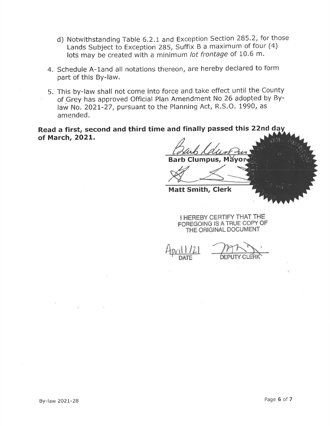- d) Notwithstanding Table 6.2.L and Exception Section 285.2, for those Lands Subject to Exception 285, Suffix B a maximum of four (4) lots may be created with a minimum /of frontage of 10.6 m.
- 4. Schedule A-1and all notations thereon, are hereby declared to form part of this By-law.
- 5. This by-law shall not come into force and take effect until the County of Grey has approved Official Plan Amendment No 26 adopted by Bylaw No. 2O2t-27, pursuant to the Planning Act, R.S.O. 1990, as amended.

Read a first, second and third time and finally passed this 22nd day of March, 2O2L.

Barb Clumpus, Mă

Matt Smith, Clerk

I HEREBY CERTIFY THAT THE FOREGOING IS ATRUE COPY OF THE ORIGINAL DOGUMENT

 $\frac{P(X|1|Z)}{P(X|Z)}$